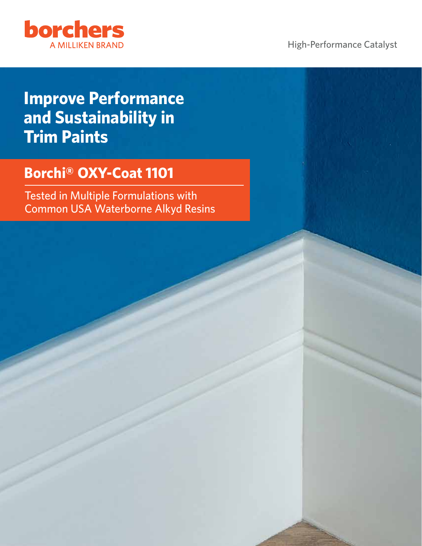

High-Performance Catalyst

# **Improve Performance and Sustainability in Trim Paints**

## **Borchi® OXY-Coat 1101**

Tested in Multiple Formulations with Common USA Waterborne Alkyd Resins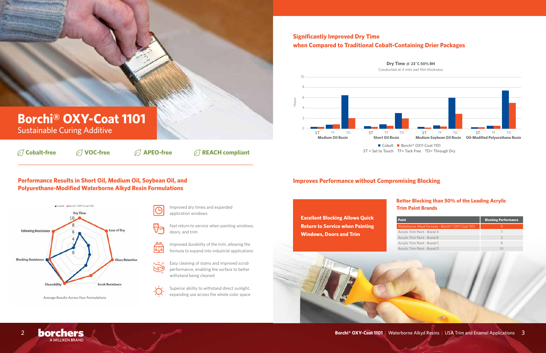### **Performance Results in Short Oil, Medium Oil, Soybean Oil, and Polyurethane-Modified Waterborne Alkyd Resin Formulations**

### **Better Blocking than 50% of the Leading Acrylic Trim Paint Brands**

| Paint                                            | <b>Blocking Performance</b> |
|--------------------------------------------------|-----------------------------|
| Waterborne Alkyd Formula - Borchi® OXY-Coat 1101 |                             |
| Acrylic Trim Paint - Brand A                     |                             |
| Acrylic Trim Paint - Brand B                     | 3                           |
| Acrylic Trim Paint - Brand C                     | 9                           |
| Acrylic Trim Paint - Brand D                     | 10                          |



- Improved dry times and expanded application windows
- Fast return to service when painting windows, doors, and trim
- Improved durability of the trim, allowing the 區
	- formula to expand into industrial applications
- $\sum_{i=1}^n \mathbb{E} \left[ \begin{array}{c} \mathbb{E} \left[ \begin{array}{c} \mathbb{E} \left[ \begin{array}{c} \mathbb{E} \left[ \begin{array}{c} \mathbb{E} \left[ \begin{array}{c} \mathbb{E} \left[ \begin{array}{c} \mathbb{E} \left[ \begin{array}{c} \mathbb{E} \left[ \end{array} \right] \right] \end{array} \right] \end{array} \right] \end{array} \right) \end{array} \right] \end{array}$ Easy cleaning of stains and improved scrub performance, enabling the surface to better withstand being cleaned
	- Superior ability to withstand direct sunlight, expanding use across the whole color space

### **Significantly Improved Dry Time when Compared to Traditional Cobalt-Containing Drier Packages**

### **Improves Performance without Compromising Blocking**



Average Results Across Four Formulations



90,7

**Cobalt-free VOC-free APEO-free REACH compliant**

# **Borchi® OXY-Coat 1101**

Sustainable Curing Additive

**Excellent Blocking Allows Quick Return to Service when Painting Windows, Doors and Trim**